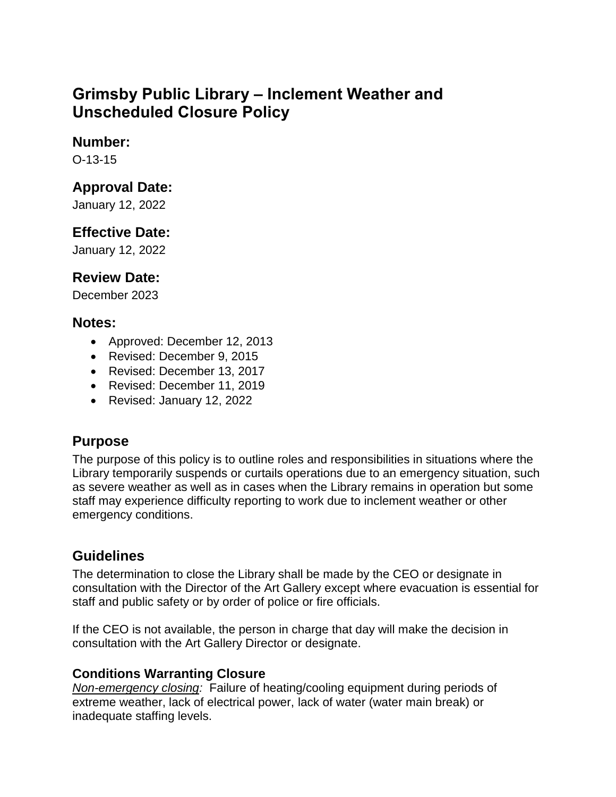# **Grimsby Public Library – Inclement Weather and Unscheduled Closure Policy**

### **Number:**

O-13-15

### **Approval Date:**

January 12, 2022

# **Effective Date:**

January 12, 2022

# **Review Date:**

December 2023

### **Notes:**

- Approved: December 12, 2013
- Revised: December 9, 2015
- Revised: December 13, 2017
- Revised: December 11, 2019
- Revised: January 12, 2022

# **Purpose**

The purpose of this policy is to outline roles and responsibilities in situations where the Library temporarily suspends or curtails operations due to an emergency situation, such as severe weather as well as in cases when the Library remains in operation but some staff may experience difficulty reporting to work due to inclement weather or other emergency conditions.

# **Guidelines**

The determination to close the Library shall be made by the CEO or designate in consultation with the Director of the Art Gallery except where evacuation is essential for staff and public safety or by order of police or fire officials.

If the CEO is not available, the person in charge that day will make the decision in consultation with the Art Gallery Director or designate.

#### **Conditions Warranting Closure**

*Non-emergency closing:* Failure of heating/cooling equipment during periods of extreme weather, lack of electrical power, lack of water (water main break) or inadequate staffing levels.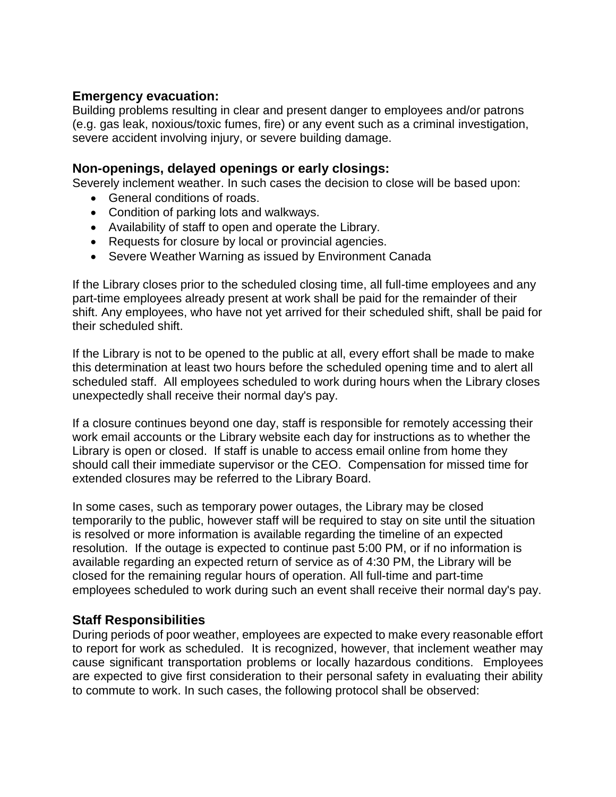#### **Emergency evacuation:**

Building problems resulting in clear and present danger to employees and/or patrons (e.g. gas leak, noxious/toxic fumes, fire) or any event such as a criminal investigation, severe accident involving injury, or severe building damage.

#### **Non-openings, delayed openings or early closings:**

Severely inclement weather. In such cases the decision to close will be based upon:

- General conditions of roads.
- Condition of parking lots and walkways.
- Availability of staff to open and operate the Library.
- Requests for closure by local or provincial agencies.
- Severe Weather Warning as issued by Environment Canada

If the Library closes prior to the scheduled closing time, all full-time employees and any part-time employees already present at work shall be paid for the remainder of their shift. Any employees, who have not yet arrived for their scheduled shift, shall be paid for their scheduled shift.

If the Library is not to be opened to the public at all, every effort shall be made to make this determination at least two hours before the scheduled opening time and to alert all scheduled staff. All employees scheduled to work during hours when the Library closes unexpectedly shall receive their normal day's pay.

If a closure continues beyond one day, staff is responsible for remotely accessing their work email accounts or the Library website each day for instructions as to whether the Library is open or closed. If staff is unable to access email online from home they should call their immediate supervisor or the CEO. Compensation for missed time for extended closures may be referred to the Library Board.

In some cases, such as temporary power outages, the Library may be closed temporarily to the public, however staff will be required to stay on site until the situation is resolved or more information is available regarding the timeline of an expected resolution. If the outage is expected to continue past 5:00 PM, or if no information is available regarding an expected return of service as of 4:30 PM, the Library will be closed for the remaining regular hours of operation. All full-time and part-time employees scheduled to work during such an event shall receive their normal day's pay.

#### **Staff Responsibilities**

During periods of poor weather, employees are expected to make every reasonable effort to report for work as scheduled. It is recognized, however, that inclement weather may cause significant transportation problems or locally hazardous conditions. Employees are expected to give first consideration to their personal safety in evaluating their ability to commute to work. In such cases, the following protocol shall be observed: